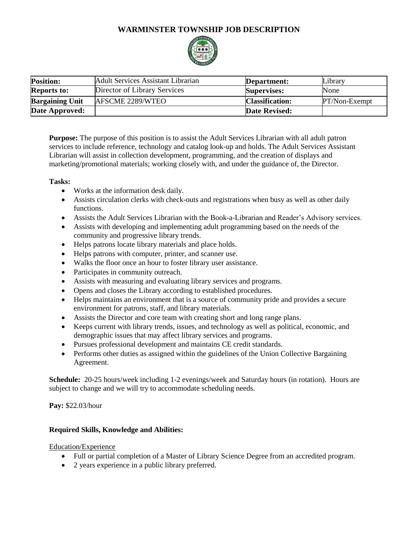# **WARMINSTER TOWNSHIP JOB DESCRIPTION**



| <b>Position:</b>       | Adult Services Assistant Librarian | Department:            | Library         |
|------------------------|------------------------------------|------------------------|-----------------|
| <b>Reports to:</b>     | Director of Library Services       | <b>Supervises:</b>     | None            |
| <b>Bargaining Unit</b> | AFSCME 2289/WTEO                   | <b>Classification:</b> | $PT/Non-Exempt$ |
| <b>Date Approved:</b>  |                                    | <b>Date Revised:</b>   |                 |

**Purpose:** The purpose of this position is to assist the Adult Services Librarian with all adult patron services to include reference, technology and catalog look-up and holds. The Adult Services Assistant Librarian will assist in collection development, programming, and the creation of displays and marketing/promotional materials; working closely with, and under the guidance of, the Director.

### **Tasks:**

- Works at the information desk daily.
- Assists circulation clerks with check-outs and registrations when busy as well as other daily functions.
- Assists the Adult Services Librarian with the Book-a-Librarian and Reader's Advisory services.
- Assists with developing and implementing adult programming based on the needs of the community and progressive library trends.
- Helps patrons locate library materials and place holds.
- Helps patrons with computer, printer, and scanner use.
- Walks the floor once an hour to foster library user assistance.
- Participates in community outreach.
- Assists with measuring and evaluating library services and programs.
- Opens and closes the Library according to established procedures.
- Helps maintains an environment that is a source of community pride and provides a secure environment for patrons, staff, and library materials.
- Assists the Director and core team with creating short and long range plans.
- Keeps current with library trends, issues, and technology as well as political, economic, and demographic issues that may affect library services and programs.
- Pursues professional development and maintains CE credit standards.
- Performs other duties as assigned within the guidelines of the Union Collective Bargaining Agreement.

**Schedule:** 20-25 hours/week including 1-2 evenings/week and Saturday hours (in rotation). Hours are subject to change and we will try to accommodate scheduling needs.

**Pay:** \$22.03/hour

### **Required Skills, Knowledge and Abilities:**

### Education/Experience

- Full or partial completion of a Master of Library Science Degree from an accredited program.
- 2 years experience in a public library preferred.